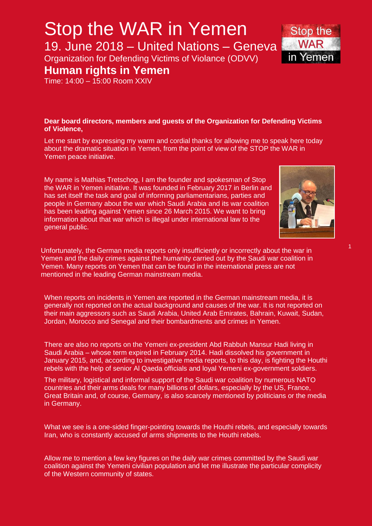#### **Dear board directors, members and guests of the Organization for Defending Victims of Violence,**

Let me start by expressing my warm and cordial thanks for allowing me to speak here today about the dramatic situation in Yemen, from the point of view of the STOP the WAR in Yemen peace initiative.

My name is Mathias Tretschog, I am the founder and spokesman of Stop the WAR in Yemen initiative. It was founded in February 2017 in Berlin and has set itself the task and goal of informing parliamentarians, parties and people in Germany about the war which Saudi Arabia and its war coalition has been leading against Yemen since 26 March 2015. We want to bring information about that war which is illegal under international law to the general public.

Unfortunately, the German media reports only insufficiently or incorrectly about the war in Yemen and the daily crimes against the humanity carried out by the Saudi war coalition in Yemen. Many reports on Yemen that can be found in the international press are not mentioned in the leading German mainstream media.

When reports on incidents in Yemen are reported in the German mainstream media, it is generally not reported on the actual background and causes of the war. It is not reported on their main aggressors such as Saudi Arabia, United Arab Emirates, Bahrain, Kuwait, Sudan, Jordan, Morocco and Senegal and their bombardments and crimes in Yemen.

There are also no reports on the Yemeni ex-president Abd Rabbuh Mansur Hadi living in Saudi Arabia – whose term expired in February 2014. Hadi dissolved his government in January 2015, and, according to investigative media reports, to this day, is fighting the Houthi rebels with the help of senior Al Qaeda officials and loyal Yemeni ex-government soldiers.

The military, logistical and informal support of the Saudi war coalition by numerous NATO countries and their arms deals for many billions of dollars, especially by the US, France, Great Britain and, of course, Germany, is also scarcely mentioned by politicians or the media in Germany.

What we see is a one-sided finger-pointing towards the Houthi rebels, and especially towards Iran, who is constantly accused of arms shipments to the Houthi rebels.

Allow me to mention a few key figures on the daily war crimes committed by the Saudi war coalition against the Yemeni civilian population and let me illustrate the particular complicity of the Western community of states.





Organization for Defending Victims of Violance (ODVV)

### **Human rights in Yemen**

Time: 14:00 – 15:00 Room XXIV

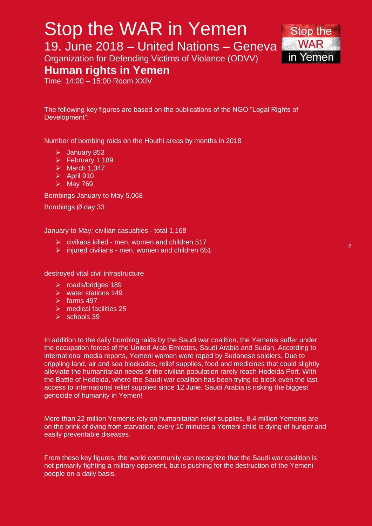## Stop the WAR in Yemen

19. June 2018 – United Nations – Geneva

Organization for Defending Victims of Violance (ODVV)

### **Human rights in Yemen**

Time: 14:00 – 15:00 Room XXIV

The following key figures are based on the publications of the NGO "Legal Rights of Development":

Number of bombing raids on the Houthi areas by months in 2018

- $\blacktriangleright$  January 853
- $\triangleright$  February 1,189
- $\triangleright$  March 1,347
- $\blacktriangleright$  April 910
- $\triangleright$  May 769

Bombings January to May 5,068

Bombings Ø day 33

January to May: civilian casualties - total 1,168

- $\triangleright$  civilians killed men, women and children 517
- $\triangleright$  injured civilians men, women and children 651

destroyed vital civil infrastructure

- roads/bridges 189
- $\triangleright$  water stations 149
- $\triangleright$  farms 497
- $\triangleright$  medical facilities 25
- $\triangleright$  schools 39

In addition to the daily bombing raids by the Saudi war coalition, the Yemenis suffer under the occupation forces of the United Arab Emirates, Saudi Arabia and Sudan. According to international media reports, Yemeni women were raped by Sudanese soldiers. Due to crippling land, air and sea blockades, relief supplies, food and medicines that could slightly alleviate the humanitarian needs of the civilian population rarely reach Hodeida Port. With the Battle of Hodeida, where the Saudi war coalition has been trying to block even the last access to international relief supplies since 12 June, Saudi Arabia is risking the biggest genocide of humanity in Yemen!

More than 22 million Yemenis rely on humanitarian relief supplies, 8.4 million Yemenis are on the brink of dying from starvation, every 10 minutes a Yemeni child is dying of hunger and easily preventable diseases.

From these key figures, the world community can recognize that the Saudi war coalition is not primarily fighting a military opponent, but is pushing for the destruction of the Yemeni people on a daily basis.